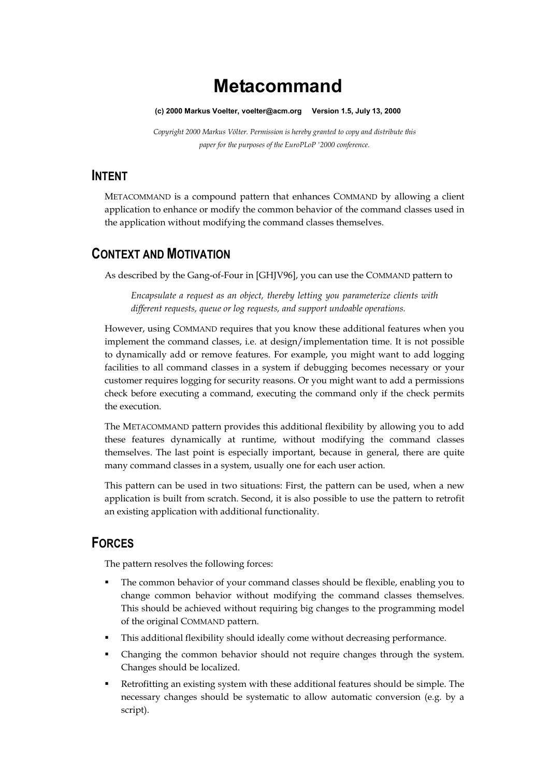# **Metacommand**

#### **(c) 2000 Markus Voelter, [voelter@acm.org](mailto:voelter@acm.org) Version 1.5, July 13, 2000**

*Copyright 2000 Markus Völter. Permission is hereby granted to copy and distribute this paper for the purposes of the EuroPLoP '2000 conference.*

### **INTENT**

METACOMMAND is a compound pattern that enhances COMMAND by allowing a client application to enhance or modify the common behavior of the command classes used in the application without modifying the command classes themselves.

## **CONTEXT AND MOTIVATION**

As described by the Gang-of-Four in [GHJV96], you can use the COMMAND pattern to

*Encapsulate a request as an object, thereby letting you parameterize clients with different requests, queue or log requests, and support undoable operations.*

However, using COMMAND requires that you know these additional features when you implement the command classes, i.e. at design/implementation time. It is not possible to dynamically add or remove features. For example, you might want to add logging facilities to all command classes in a system if debugging becomes necessary or your customer requires logging for security reasons. Or you might want to add a permissions check before executing a command, executing the command only if the check permits the execution.

The METACOMMAND pattern provides this additional flexibility by allowing you to add these features dynamically at runtime, without modifying the command classes themselves. The last point is especially important, because in general, there are quite many command classes in a system, usually one for each user action.

This pattern can be used in two situations: First, the pattern can be used, when a new application is built from scratch. Second, it is also possible to use the pattern to retrofit an existing application with additional functionality.

# **FORCES**

The pattern resolves the following forces:

- The common behavior of your command classes should be flexible, enabling you to change common behavior without modifying the command classes themselves. This should be achieved without requiring big changes to the programming model of the original COMMAND pattern.
- This additional flexibility should ideally come without decreasing performance.
- Changing the common behavior should not require changes through the system. Changes should be localized.
- Retrofitting an existing system with these additional features should be simple. The necessary changes should be systematic to allow automatic conversion (e.g. by a script).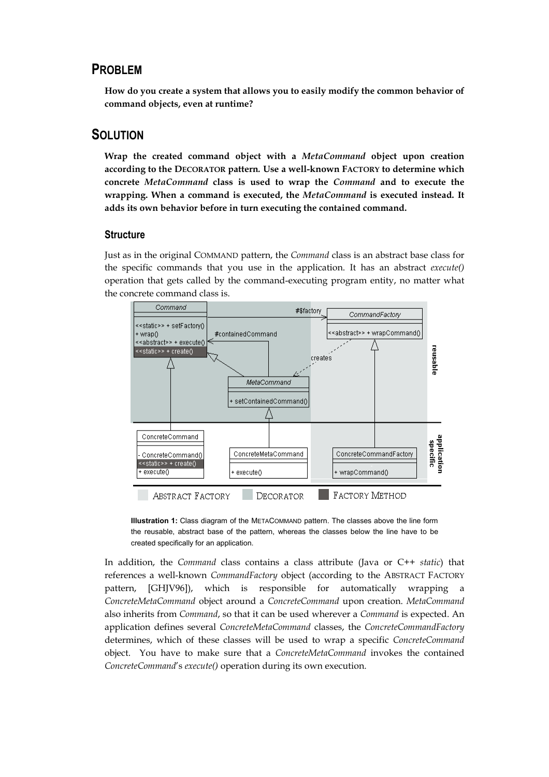### **PROBLEM**

**How do you create a system that allows you to easily modify the common behavior of command objects, even at runtime?**

### **SOLUTION**

**Wrap the created command object with a** *MetaCommand* **object upon creation according to the DECORATOR pattern***.* **Use a well-known FACTORY to determine which concrete** *MetaCommand* **class is used to wrap the** *Command* **and to execute the wrapping. When a command is executed, the** *MetaCommand* **is executed instead. It adds its own behavior before in turn executing the contained command.**

#### **Structure**

Just as in the original COMMAND pattern, the *Command* class is an abstract base class for the specific commands that you use in the application. It has an abstract *execute()* operation that gets called by the command-executing program entity, no matter what the concrete command class is.



**Illustration 1:** Class diagram of the METACOMMAND pattern. The classes above the line form the reusable, abstract base of the pattern, whereas the classes below the line have to be created specifically for an application.

In addition, the *Command* class contains a class attribute (Java or C++ *static*) that references a well-known *CommandFactory* object (according to the ABSTRACT FACTORY pattern, [GHJV96]), which is responsible for automatically wrapping a *ConcreteMetaCommand* object around a *ConcreteCommand* upon creation. *MetaCommand* also inherits from *Command*, so that it can be used wherever a *Command* is expected. An application defines several *ConcreteMetaCommand* classes, the *ConcreteCommandFactory* determines, which of these classes will be used to wrap a specific *ConcreteCommand* object. You have to make sure that a *ConcreteMetaCommand* invokes the contained *ConcreteCommand*'s *execute()* operation during its own execution.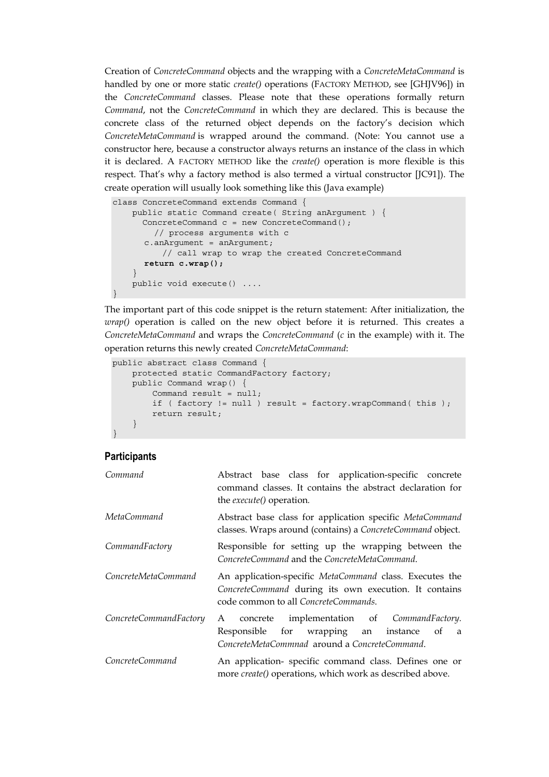Creation of *ConcreteCommand* objects and the wrapping with a *ConcreteMetaCommand* is handled by one or more static *create()* operations (FACTORY METHOD, see [GHJV96]) in the *ConcreteCommand* classes. Please note that these operations formally return *Command*, not the *ConcreteCommand* in which they are declared. This is because the concrete class of the returned object depends on the factory's decision which *ConcreteMetaCommand* is wrapped around the command. (Note: You cannot use a constructor here, because a constructor always returns an instance of the class in which it is declared. A FACTORY METHOD like the *create()* operation is more flexible is this respect. That's why a factory method is also termed a virtual constructor [JC91]). The create operation will usually look something like this (Java example)

```
class ConcreteCommand extends Command {
   public static Command create( String anArgument ) {
     ConcreteCommand c = new ConcreteCommand();
        // process arguments with c
      c.anArgument = anArgument;
         // call wrap to wrap the created ConcreteCommand
      return c.wrap();
    }
   public void execute() ....
}
```
The important part of this code snippet is the return statement: After initialization, the *wrap()* operation is called on the new object before it is returned. This creates a *ConcreteMetaCommand* and wraps the *ConcreteCommand* (*c* in the example) with it. The operation returns this newly created *ConcreteMetaCommand*:

```
public abstract class Command {
    protected static CommandFactory factory;
    public Command wrap() {
        Command result = null;if ( factory != null ) result = factory.wrapCommand( this );
       return result;
    }
}
```
#### **Participants**

| Command                | Abstract base class for application-specific concrete<br>command classes. It contains the abstract declaration for<br>the <i>execute</i> () operation.   |
|------------------------|----------------------------------------------------------------------------------------------------------------------------------------------------------|
| MetaCommand            | Abstract base class for application specific MetaCommand<br>classes. Wraps around (contains) a ConcreteCommand object.                                   |
| CommandFactory         | Responsible for setting up the wrapping between the<br>ConcreteCommand and the ConcreteMetaCommand.                                                      |
| ConcreteMetaCommand    | An application-specific MetaCommand class. Executes the<br>ConcreteCommand during its own execution. It contains<br>code common to all ConcreteCommands. |
| ConcreteCommandFactory | concrete implementation of CommandFactory.<br>A<br>Responsible for wrapping an instance of a<br>ConcreteMetaCommnad around a ConcreteCommand.            |
| ConcreteCommand        | An application- specific command class. Defines one or<br>more create() operations, which work as described above.                                       |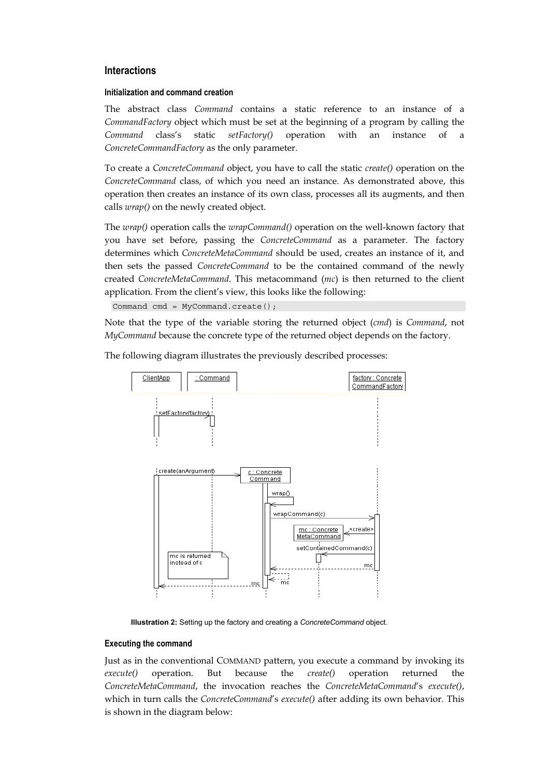#### **Interactions**

#### **Initialization and command creation**

The abstract class *Command* contains a static reference to an instance of a *CommandFactory* object which must be set at the beginning of a program by calling the *Command* class's static *setFactory()* operation with an instance of a *ConcreteCommandFactory* as the only parameter.

To create a *ConcreteCommand* object, you have to call the static *create()* operation on the *ConcreteCommand* class, of which you need an instance. As demonstrated above, this operation then creates an instance of its own class, processes all its augments, and then calls *wrap()* on the newly created object.

The *wrap()* operation calls the *wrapCommand()* operation on the well-known factory that you have set before, passing the *ConcreteCommand* as a parameter. The factory determines which *ConcreteMetaCommand* should be used, creates an instance of it, and then sets the passed *ConcreteCommand* to be the contained command of the newly created *ConcreteMetaCommand*. This metacommand (*mc*) is then returned to the client application. From the client's view, this looks like the following:

Command cmd = MyCommand.create();

Note that the type of the variable storing the returned object (*cmd*) is *Command*, not *MyCommand* because the concrete type of the returned object depends on the factory.

The following diagram illustrates the previously described processes:



**Illustration 2:** Setting up the factory and creating a *ConcreteCommand* object.

#### **Executing the command**

Just as in the conventional COMMAND pattern, you execute a command by invoking its *execute()* operation. But because the *create()* operation returned the *ConcreteMetaCommand*, the invocation reaches the *ConcreteMetaCommand*'s *execute()*, which in turn calls the *ConcreteCommand*'s *execute()* after adding its own behavior. This is shown in the diagram below: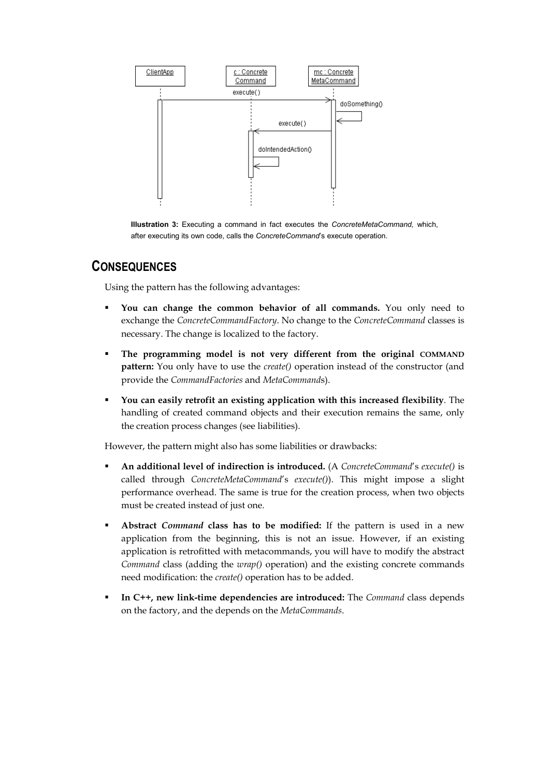

**Illustration 3:** Executing a command in fact executes the *ConcreteMetaCommand,* which, after executing its own code, calls the *ConcreteCommand*'s execute operation.

### **CONSEQUENCES**

Using the pattern has the following advantages:

- **You can change the common behavior of all commands.** You only need to exchange the *ConcreteCommandFactory*. No change to the *ConcreteCommand* classes is necessary. The change is localized to the factory.
- **The programming model is not very different from the original COMMAND pattern:** You only have to use the *create()* operation instead of the constructor (and provide the *CommandFactories* and *MetaCommand*s).
- **You can easily retrofit an existing application with this increased flexibility**. The handling of created command objects and their execution remains the same, only the creation process changes (see liabilities).

However, the pattern might also has some liabilities or drawbacks:

- **An additional level of indirection is introduced.** (A *ConcreteCommand*'s *execute()* is called through *ConcreteMetaCommand*'s *execute()*). This might impose a slight performance overhead. The same is true for the creation process, when two objects must be created instead of just one.
- **Abstract** *Command* **class has to be modified:** If the pattern is used in a new application from the beginning, this is not an issue. However, if an existing application is retrofitted with metacommands, you will have to modify the abstract *Command* class (adding the *wrap()* operation) and the existing concrete commands need modification: the *create()* operation has to be added.
- **In C++, new link-time dependencies are introduced:** The *Command* class depends on the factory, and the depends on the *MetaCommands*.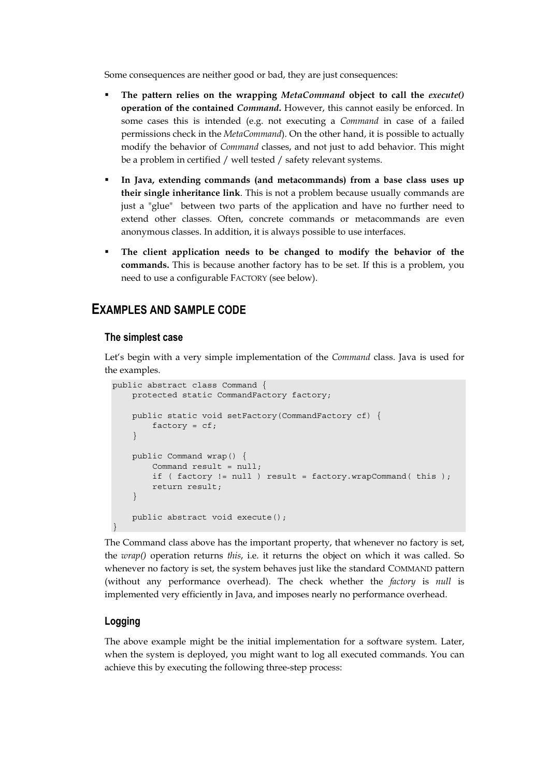Some consequences are neither good or bad, they are just consequences:

- **The pattern relies on the wrapping** *MetaCommand* **object to call the** *execute()* **operation of the contained** *Command***.** However, this cannot easily be enforced. In some cases this is intended (e.g. not executing a *Command* in case of a failed permissions check in the *MetaCommand*). On the other hand, it is possible to actually modify the behavior of *Command* classes, and not just to add behavior. This might be a problem in certified / well tested / safety relevant systems.
- **In Java, extending commands (and metacommands) from a base class uses up their single inheritance link**. This is not a problem because usually commands are just a "glue" between two parts of the application and have no further need to extend other classes. Often, concrete commands or metacommands are even anonymous classes. In addition, it is always possible to use interfaces.
- **The client application needs to be changed to modify the behavior of the commands.** This is because another factory has to be set. If this is a problem, you need to use a configurable FACTORY (see below).

### **EXAMPLES AND SAMPLE CODE**

#### **The simplest case**

Let's begin with a very simple implementation of the *Command* class. Java is used for the examples.

```
public abstract class Command {
    protected static CommandFactory factory;
    public static void setFactory(CommandFactory cf) {
       factory = cf;
    }
    public Command wrap() {
        Command result = null;
        if ( factory != null ) result = factory.wrapCommand( this );
        return result;
    }
    public abstract void execute();
}
```
The Command class above has the important property, that whenever no factory is set, the *wrap()* operation returns *this*, i.e. it returns the object on which it was called. So whenever no factory is set, the system behaves just like the standard COMMAND pattern (without any performance overhead). The check whether the *factory* is *null* is implemented very efficiently in Java, and imposes nearly no performance overhead.

#### **Logging**

The above example might be the initial implementation for a software system. Later, when the system is deployed, you might want to log all executed commands. You can achieve this by executing the following three-step process: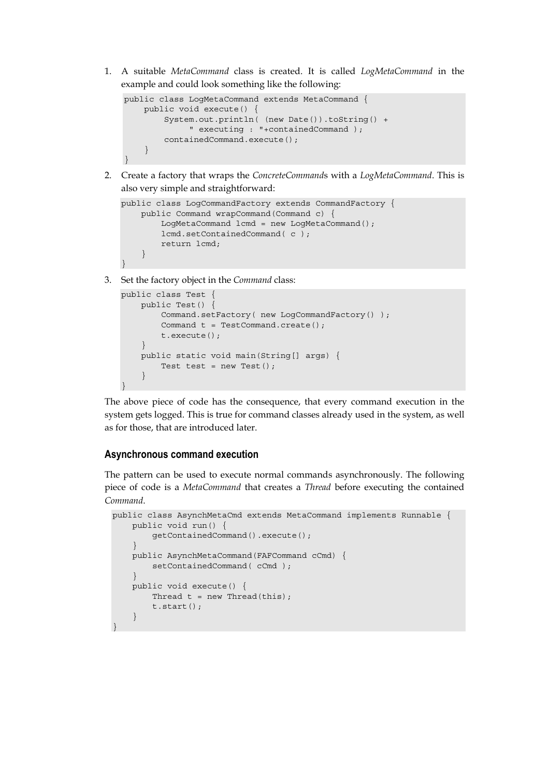1. A suitable *MetaCommand* class is created. It is called *LogMetaCommand* in the example and could look something like the following:

```
public class LogMetaCommand extends MetaCommand {
   public void execute() {
        System.out.println( (new Date()).toString() +
             " executing : "+containedCommand );
        containedCommand.execute();
    }
}
```
2. Create a factory that wraps the *ConcreteCommand*s with a *LogMetaCommand*. This is also very simple and straightforward:

```
public class LogCommandFactory extends CommandFactory {
   public Command wrapCommand(Command c) {
        LogMetaCommand lcmd = new LogMetaCommand();
        lcmd.setContainedCommand( c );
       return lcmd;
    }
```
3. Set the factory object in the *Command* class:

}

```
public class Test {
    public Test() {
        Command.setFactory( new LogCommandFactory() );
        Command t = TestCommand.create();
        t.execute();
    }
    public static void main(String[] args) {
        Test test = new Test();
    }
}
```
The above piece of code has the consequence, that every command execution in the system gets logged. This is true for command classes already used in the system, as well as for those, that are introduced later.

#### **Asynchronous command execution**

The pattern can be used to execute normal commands asynchronously. The following piece of code is a *MetaCommand* that creates a *Thread* before executing the contained *Command*.

```
public class AsynchMetaCmd extends MetaCommand implements Runnable {
   public void run() {
        getContainedCommand().execute();
    }
   public AsynchMetaCommand(FAFCommand cCmd) {
        setContainedCommand(cCmd);
   }
   public void execute() {
       Thread t = new Thread(this);
       t.start();
    }
}
```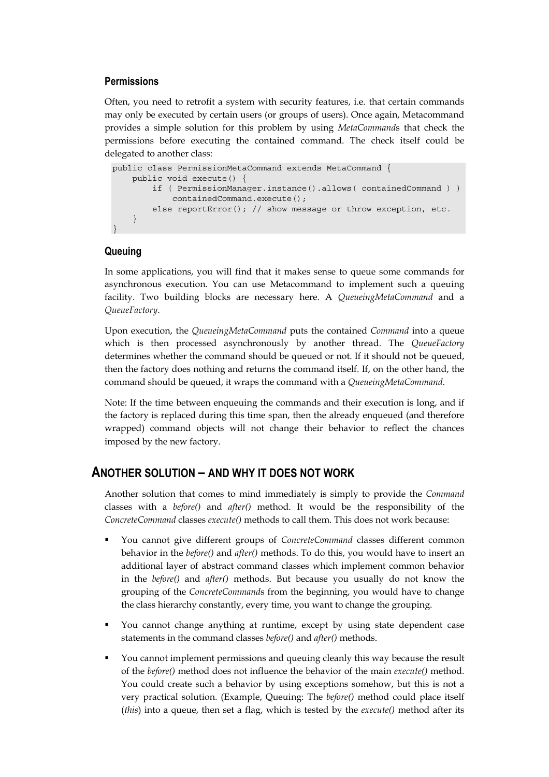#### **Permissions**

Often, you need to retrofit a system with security features, i.e. that certain commands may only be executed by certain users (or groups of users). Once again, Metacommand provides a simple solution for this problem by using *MetaCommand*s that check the permissions before executing the contained command. The check itself could be delegated to another class:

```
public class PermissionMetaCommand extends MetaCommand {
   public void execute() {
        if ( PermissionManager.instance().allows( containedCommand ) )
           containedCommand.execute();
        else reportError(); // show message or throw exception, etc.
   }
}
```
#### **Queuing**

In some applications, you will find that it makes sense to queue some commands for asynchronous execution. You can use Metacommand to implement such a queuing facility. Two building blocks are necessary here. A *QueueingMetaCommand* and a *QueueFactory*.

Upon execution, the *QueueingMetaCommand* puts the contained *Command* into a queue which is then processed asynchronously by another thread. The *QueueFactory* determines whether the command should be queued or not. If it should not be queued, then the factory does nothing and returns the command itself. If, on the other hand, the command should be queued, it wraps the command with a *QueueingMetaCommand*.

Note: If the time between enqueuing the commands and their execution is long, and if the factory is replaced during this time span, then the already enqueued (and therefore wrapped) command objects will not change their behavior to reflect the chances imposed by the new factory.

### **ANOTHER SOLUTION – AND WHY IT DOES NOT WORK**

Another solution that comes to mind immediately is simply to provide the *Command* classes with a *before()* and *after()* method. It would be the responsibility of the *ConcreteCommand* classes *execute()* methods to call them. This does not work because:

- You cannot give different groups of *ConcreteCommand* classes different common behavior in the *before()* and *after()* methods. To do this, you would have to insert an additional layer of abstract command classes which implement common behavior in the *before()* and *after()* methods. But because you usually do not know the grouping of the *ConcreteCommand*s from the beginning, you would have to change the class hierarchy constantly, every time, you want to change the grouping.
- You cannot change anything at runtime, except by using state dependent case statements in the command classes *before()* and *after()* methods.
- You cannot implement permissions and queuing cleanly this way because the result of the *before()* method does not influence the behavior of the main *execute()* method. You could create such a behavior by using exceptions somehow, but this is not a very practical solution. (Example, Queuing: The *before()* method could place itself (*this*) into a queue, then set a flag, which is tested by the *execute()* method after its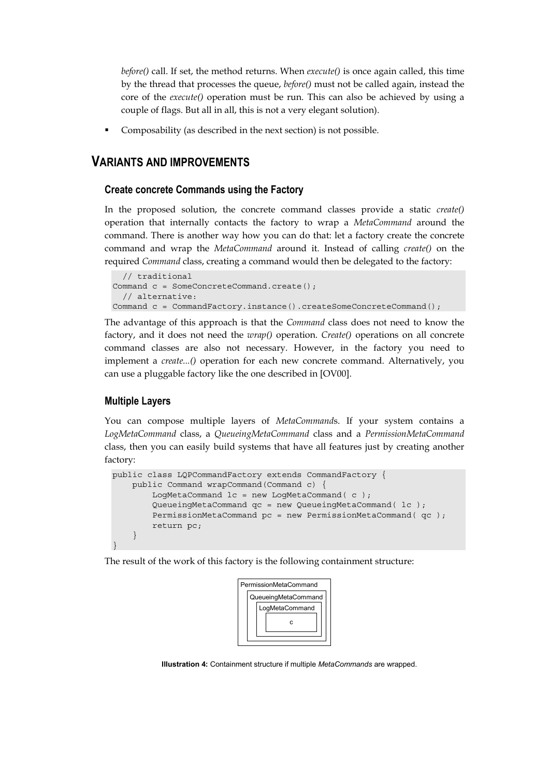*before()* call. If set, the method returns. When *execute()* is once again called, this time by the thread that processes the queue, *before()* must not be called again, instead the core of the *execute()* operation must be run. This can also be achieved by using a couple of flags. But all in all, this is not a very elegant solution).

Composability (as described in the next section) is not possible.

### **VARIANTS AND IMPROVEMENTS**

#### **Create concrete Commands using the Factory**

In the proposed solution, the concrete command classes provide a static *create()* operation that internally contacts the factory to wrap a *MetaCommand* around the command. There is another way how you can do that: let a factory create the concrete command and wrap the *MetaCommand* around it. Instead of calling *create()* on the required *Command* class, creating a command would then be delegated to the factory:

```
// traditional
Command c = SomeConcreteCommand.create();
 // alternative:
Command c = CommandFactory.instance().createSomeConcreteCommand();
```
The advantage of this approach is that the *Command* class does not need to know the factory, and it does not need the *wrap()* operation. *Create()* operations on all concrete command classes are also not necessary. However, in the factory you need to implement a *create...()* operation for each new concrete command. Alternatively, you can use a pluggable factory like the one described in [OV00].

#### **Multiple Layers**

You can compose multiple layers of *MetaCommand*s. If your system contains a *LogMetaCommand* class, a *QueueingMetaCommand* class and a *PermissionMetaCommand* class, then you can easily build systems that have all features just by creating another factory:

```
public class LQPCommandFactory extends CommandFactory {
    public Command wrapCommand(Command c) {
        LogMetaCommand lc = new LogMetaCommand (c);
        QueueingMetaCommand qc = new QueueingMetaCommand( lc );
        PermissionMetaCommand pc = new PermissionMetaCommand( qc );
        return pc;
    }
}
```
The result of the work of this factory is the following containment structure:



 **Illustration 4:** Containment structure if multiple *MetaCommands* are wrapped.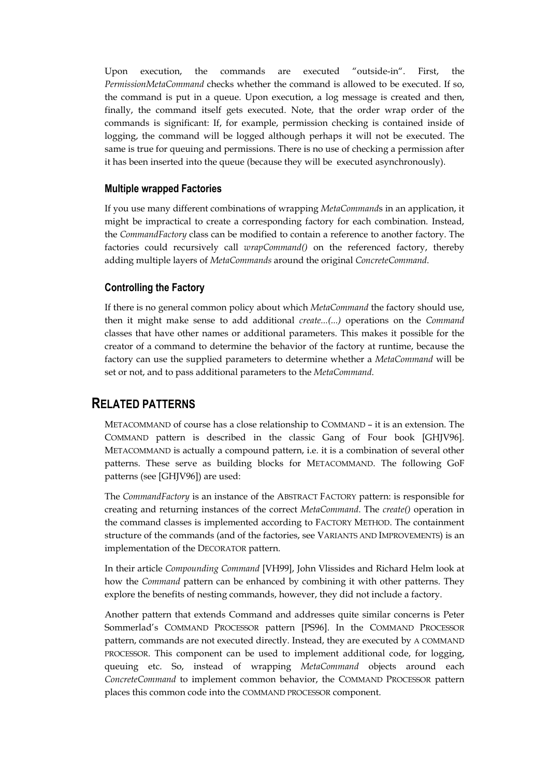Upon execution, the commands are executed "outside-in". First, the *PermissionMetaCommand* checks whether the command is allowed to be executed. If so, the command is put in a queue. Upon execution, a log message is created and then, finally, the command itself gets executed. Note, that the order wrap order of the commands is significant: If, for example, permission checking is contained inside of logging, the command will be logged although perhaps it will not be executed. The same is true for queuing and permissions. There is no use of checking a permission after it has been inserted into the queue (because they will be executed asynchronously).

#### **Multiple wrapped Factories**

If you use many different combinations of wrapping *MetaCommand*s in an application, it might be impractical to create a corresponding factory for each combination. Instead, the *CommandFactory* class can be modified to contain a reference to another factory. The factories could recursively call *wrapCommand()* on the referenced factory, thereby adding multiple layers of *MetaCommands* around the original *ConcreteCommand*.

#### **Controlling the Factory**

If there is no general common policy about which *MetaCommand* the factory should use, then it might make sense to add additional *create...(...)* operations on the *Command* classes that have other names or additional parameters. This makes it possible for the creator of a command to determine the behavior of the factory at runtime, because the factory can use the supplied parameters to determine whether a *MetaCommand* will be set or not, and to pass additional parameters to the *MetaCommand*.

### **RELATED PATTERNS**

METACOMMAND of course has a close relationship to COMMAND – it is an extension. The COMMAND pattern is described in the classic Gang of Four book [GHJV96]. METACOMMAND is actually a compound pattern, i.e. it is a combination of several other patterns. These serve as building blocks for METACOMMAND. The following GoF patterns (see [GHJV96]) are used:

The *CommandFactory* is an instance of the ABSTRACT FACTORY pattern: is responsible for creating and returning instances of the correct *MetaCommand*. The *create()* operation in the command classes is implemented according to FACTORY METHOD. The containment structure of the commands (and of the factories, see VARIANTS AND IMPROVEMENTS) is an implementation of the DECORATOR pattern.

In their article *Compounding Command* [VH99], John Vlissides and Richard Helm look at how the *Command* pattern can be enhanced by combining it with other patterns. They explore the benefits of nesting commands, however, they did not include a factory.

Another pattern that extends Command and addresses quite similar concerns is Peter Sommerlad's COMMAND PROCESSOR pattern [PS96]. In the COMMAND PROCESSOR pattern, commands are not executed directly. Instead, they are executed by A COMMAND PROCESSOR. This component can be used to implement additional code, for logging, queuing etc. So, instead of wrapping *MetaCommand* objects around each *ConcreteCommand* to implement common behavior, the COMMAND PROCESSOR pattern places this common code into the COMMAND PROCESSOR component.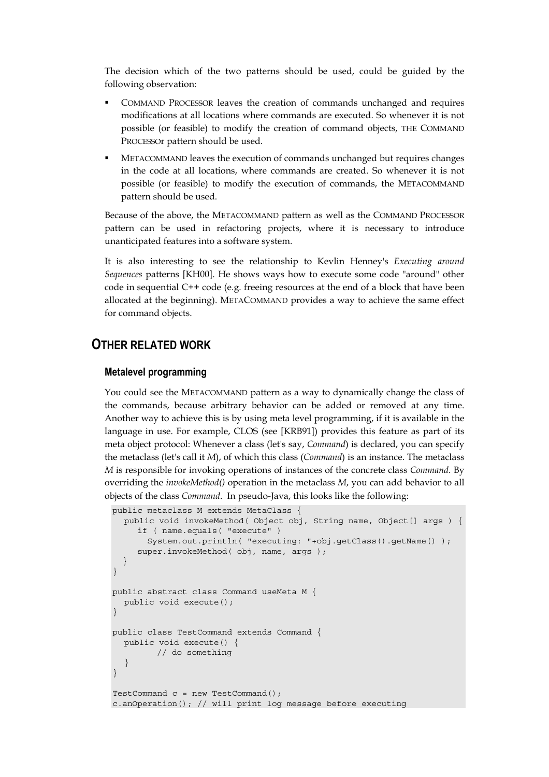The decision which of the two patterns should be used, could be guided by the following observation:

- COMMAND PROCESSOR leaves the creation of commands unchanged and requires modifications at all locations where commands are executed. So whenever it is not possible (or feasible) to modify the creation of command objects, THE COMMAND PROCESSOr pattern should be used.
- METACOMMAND leaves the execution of commands unchanged but requires changes in the code at all locations, where commands are created. So whenever it is not possible (or feasible) to modify the execution of commands, the METACOMMAND pattern should be used.

Because of the above, the METACOMMAND pattern as well as the COMMAND PROCESSOR pattern can be used in refactoring projects, where it is necessary to introduce unanticipated features into a software system.

It is also interesting to see the relationship to Kevlin Henney's *Executing around Sequences* patterns [KH00]. He shows ways how to execute some code "around" other code in sequential C++ code (e.g. freeing resources at the end of a block that have been allocated at the beginning). METACOMMAND provides a way to achieve the same effect for command objects.

### **OTHER RELATED WORK**

#### **Metalevel programming**

You could see the METACOMMAND pattern as a way to dynamically change the class of the commands, because arbitrary behavior can be added or removed at any time. Another way to achieve this is by using meta level programming, if it is available in the language in use. For example, CLOS (see [KRB91]) provides this feature as part of its meta object protocol: Whenever a class (let's say, *Command*) is declared, you can specify the metaclass (let's call it *M*), of which this class (*Command*) is an instance. The metaclass *M* is responsible for invoking operations of instances of the concrete class *Command*. By overriding the *invokeMethod()* operation in the metaclass *M*, you can add behavior to all objects of the class *Command*. In pseudo-Java, this looks like the following:

```
public metaclass M extends MetaClass {
  public void invokeMethod( Object obj, String name, Object[] args ) {
     if ( name.equals( "execute" )
       System.out.println( "executing: "+obj.getClass().getName() );
     super.invokeMethod( obj, name, args );
  }
}
public abstract class Command useMeta M {
  public void execute();
}
public class TestCommand extends Command {
  public void execute() {
        // do something
  }
}
TestCommand c = new TestCommand();
c.anOperation(); // will print log message before executing
```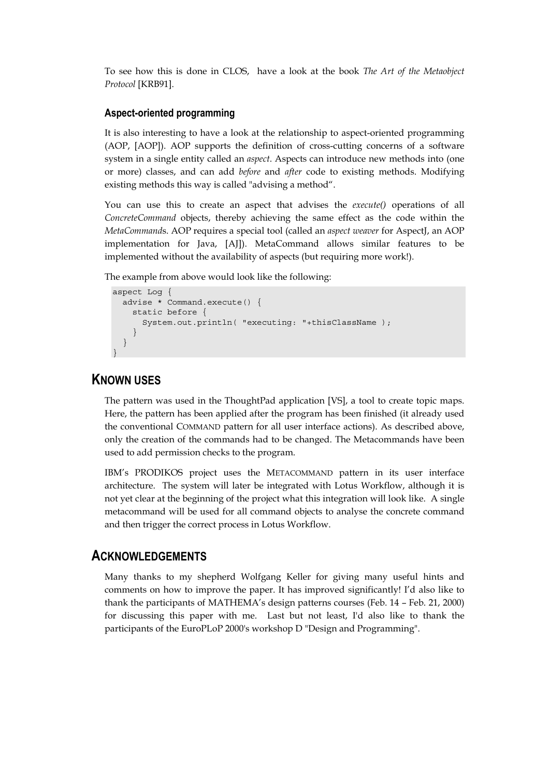To see how this is done in CLOS, have a look at the book *The Art of the Metaobject Protocol* [KRB91].

#### **Aspect-oriented programming**

It is also interesting to have a look at the relationship to aspect-oriented programming (AOP, [AOP]). AOP supports the definition of cross-cutting concerns of a software system in a single entity called an *aspect*. Aspects can introduce new methods into (one or more) classes, and can add *before* and *after* code to existing methods. Modifying existing methods this way is called "advising a method".

You can use this to create an aspect that advises the *execute()* operations of all *ConcreteCommand* objects, thereby achieving the same effect as the code within the *MetaCommand*s. AOP requires a special tool (called an *aspect weaver* for AspectJ, an AOP implementation for Java, [AJ]). MetaCommand allows similar features to be implemented without the availability of aspects (but requiring more work!).

The example from above would look like the following:

```
aspect Log {
  advise * Command.execute() {
   static before {
     System.out.println( "executing: "+thisClassName );
    }
  }
}
```
### **KNOWN USES**

The pattern was used in the ThoughtPad application [VS], a tool to create topic maps. Here, the pattern has been applied after the program has been finished (it already used the conventional COMMAND pattern for all user interface actions). As described above, only the creation of the commands had to be changed. The Metacommands have been used to add permission checks to the program.

IBM's PRODIKOS project uses the METACOMMAND pattern in its user interface architecture. The system will later be integrated with Lotus Workflow, although it is not yet clear at the beginning of the project what this integration will look like. A single metacommand will be used for all command objects to analyse the concrete command and then trigger the correct process in Lotus Workflow.

### **ACKNOWLEDGEMENTS**

Many thanks to my shepherd Wolfgang Keller for giving many useful hints and comments on how to improve the paper. It has improved significantly! I'd also like to thank the participants of MATHEMA's design patterns courses (Feb. 14 – Feb. 21, 2000) for discussing this paper with me. Last but not least, I'd also like to thank the participants of the EuroPLoP 2000's workshop D "Design and Programming".